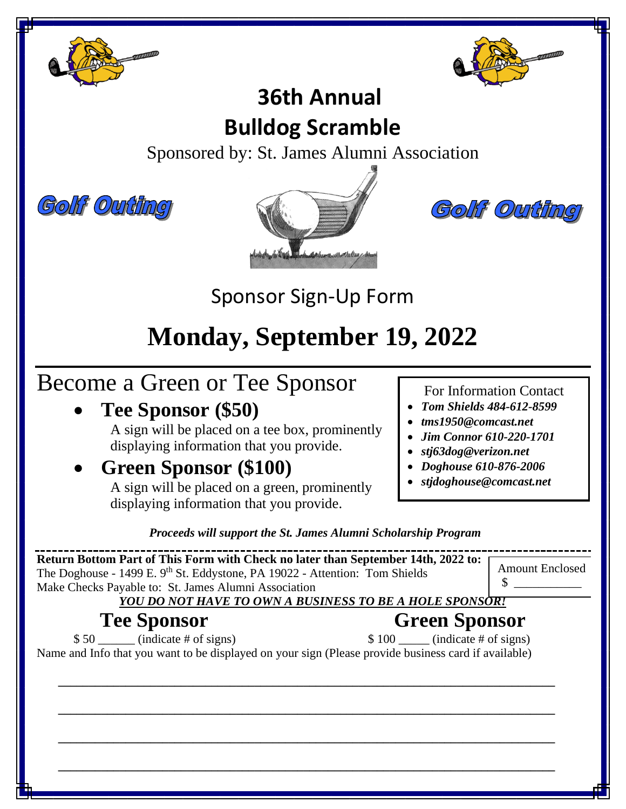



### **36th Annual Bulldog Scramble**

Sponsored by: St. James Alumni Association







Sponsor Sign-Up Form

# **Monday, September 19, 2022**

# Become a Green or Tee Sponsor

• **Tee Sponsor (\$50)**

A sign will be placed on a tee box, prominently displaying information that you provide.

• **Green Sponsor (\$100)**

A sign will be placed on a green, prominently displaying information that you provide.

For Information Contact

- *Tom Shields 484-612-8599*
- *tms1950@comcast.net*
- *Jim Connor 610-220-1701*
- *stj63dog@verizon.net*
- *Doghouse 610-876-2006*
- *stjdoghouse@comcast.net*

*Proceeds will support the St. James Alumni Scholarship Program*

**Return Bottom Part of This Form with Check no later than September 14th, 2022 to:** The Doghouse - 1499 E. 9<sup>th</sup> St. Eddystone, PA 19022 - Attention: Tom Shields Make Checks Payable to: St. James Alumni Association *YOU DO NOT HAVE TO OWN A BUSINESS TO BE A HOLE SPONSOR!* Amount Enclosed \$ \_\_\_\_\_\_\_\_\_\_\_

### **Tee Sponsor Green Sponsor**

 $$ 50$  (indicate # of signs)  $$ 100$  (indicate # of signs) Name and Info that you want to be displayed on your sign (Please provide business card if available)

**\_\_\_\_\_\_\_\_\_\_\_\_\_\_\_\_\_\_\_\_\_\_\_\_\_\_\_\_\_\_\_\_\_\_\_\_\_\_\_\_\_\_\_\_\_\_\_\_\_\_\_\_\_\_\_\_\_\_\_\_\_\_\_\_\_\_\_\_\_\_\_\_\_\_\_\_\_\_\_\_\_**

**\_\_\_\_\_\_\_\_\_\_\_\_\_\_\_\_\_\_\_\_\_\_\_\_\_\_\_\_\_\_\_\_\_\_\_\_\_\_\_\_\_\_\_\_\_\_\_\_\_\_\_\_\_\_\_\_\_\_\_\_\_\_\_\_\_\_\_\_\_\_\_\_\_\_\_\_\_\_\_\_\_**

 **\_\_\_\_\_\_\_\_\_\_\_\_\_\_\_\_\_\_\_\_\_\_\_\_\_\_\_\_\_\_\_\_\_\_\_\_\_\_\_\_\_\_\_\_\_\_\_\_\_\_\_\_\_\_\_\_\_\_\_\_\_\_\_\_\_\_\_\_\_\_\_\_\_\_\_\_\_\_\_\_\_**

 **\_\_\_\_\_\_\_\_\_\_\_\_\_\_\_\_\_\_\_\_\_\_\_\_\_\_\_\_\_\_\_\_\_\_\_\_\_\_\_\_\_\_\_\_\_\_\_\_\_\_\_\_\_\_\_\_\_\_\_\_\_\_\_\_\_\_\_\_\_\_\_\_\_\_\_\_\_\_\_\_\_**